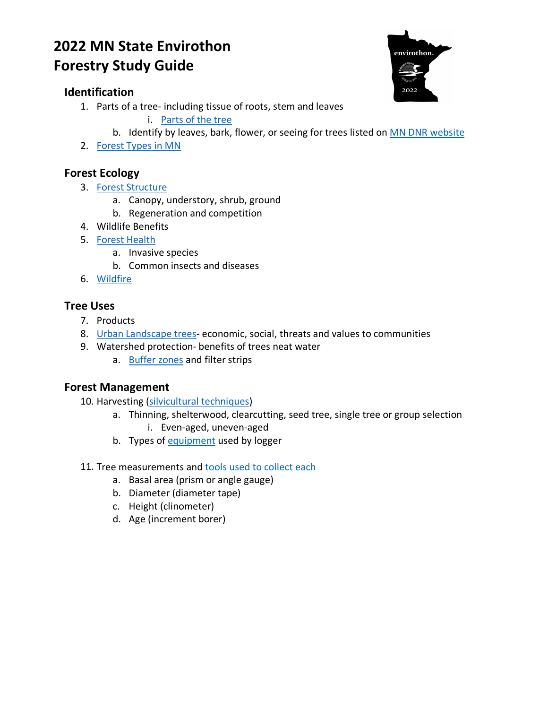# **2022 MN State Envirothon Forestry Study Guide**

## **Identification**

1. Parts of a tree- including tissue of roots, stem and leaves

i. [Parts of the tree](https://www.dnr.state.mn.us/forestry/education/foresttreasures/partsofatree.html)

- b. Identify by leaves, bark, flower, or seeing for trees listed on [MN DNR website](https://www.dnr.state.mn.us/trees/native-trees.html)
- 2. [Forest Types in MN](https://files.dnr.state.mn.us/education_safety/education/plt/minnesota-forest-types.pdf)

## **Forest Ecology**

- 3. [Forest Structure](https://files.dnr.state.mn.us/forestry/education/primer/allaboutminnesota)
	- a. Canopy, understory, shrub, ground
	- b. Regeneration and competition
- 4. Wildlife Benefits
- 5. [Forest Health](https://www.dnr.state.mn.us/treecare/forest_health/index.html)
	- a. Invasive species
	- b. Common insects and diseases
- 6. [Wildfire](https://www.rayonier.com/stories/how-forest-management-prevents-forest-fires/)

## **Tree Uses**

- 7. Products
- 8. [Urban Landscape trees-](https://www.state.sc.us/forest/urbben.htm) economic, social, threats and values to communities
- 9. Watershed protection- benefits of trees neat water
	- a. [Buffer zones](https://extension.umn.edu/agroforestry/riparian-buffers) and filter strips

### **Forest Management**

- 10. Harvesting [\(silvicultural techniques\)](https://www.nrs.fs.fed.us/fmg/nfmg/docs/fm101_silv.pdf)
	- a. Thinning, shelterwood, clearcutting, seed tree, single tree or group selection i. Even-aged, uneven-aged
	- b. Types of [equipment](https://www.forestryequipmentguide.com/article/43277-overview-of-forestry-equipment) used by logger
- 11. Tree measurements and [tools used to collect each](https://www.nnrg.org/fieldguidetoforesterstools/)
	- a. Basal area (prism or angle gauge)
	- b. Diameter (diameter tape)
	- c. Height (clinometer)
	- d. Age (increment borer)